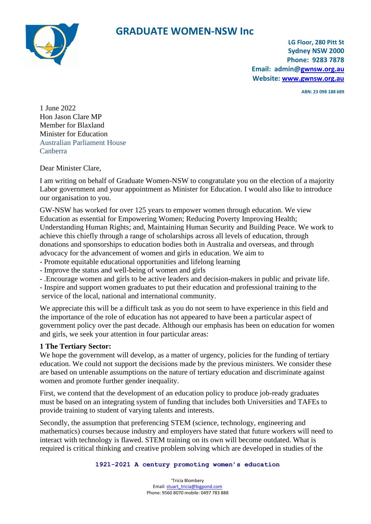

## **GRADUATE WOMEN-NSW Inc**

**LG Floor, 280 Pitt St Sydney NSW 2000 Phone: 9283 7878 Email: admin[@gwnsw.org.au](mailto:gwnsw@netspace.net.au) Website: [www.gwnsw.org.au](http://www.gwnsw.org.au/)**

**ABN: 23 098 188 689**

1 June 2022 Hon Jason Clare MP Member for Blaxland Minister for Education Australian Parliament House Canberra

Dear Minister Clare,

I am writing on behalf of Graduate Women-NSW to congratulate you on the election of a majority Labor government and your appointment as Minister for Education. I would also like to introduce our organisation to you.

GW-NSW has worked for over 125 years to empower women through education. We view Education as essential for Empowering Women; Reducing Poverty Improving Health; Understanding Human Rights; and, Maintaining Human Security and Building Peace. We work to achieve this chiefly through a range of scholarships across all levels of education, through donations and sponsorships to education bodies both in Australia and overseas, and through advocacy for the advancement of women and girls in education. We aim to

- Promote equitable educational opportunities and lifelong learning
- Improve the status and well-being of women and girls
- .Encourage women and girls to be active leaders and decision-makers in public and private life.
- Inspire and support women graduates to put their education and professional training to the service of the local, national and international community.

We appreciate this will be a difficult task as you do not seem to have experience in this field and the importance of the role of education has not appeared to have been a particular aspect of government policy over the past decade. Although our emphasis has been on education for women and girls, we seek your attention in four particular areas:

### **1 The Tertiary Sector:**

We hope the government will develop, as a matter of urgency, policies for the funding of tertiary education. We could not support the decisions made by the previous ministers. We consider these are based on untenable assumptions on the nature of tertiary education and discriminate against women and promote further gender inequality.

First, we contend that the development of an education policy to produce job-ready graduates must be based on an integrating system of funding that includes both Universities and TAFEs to provide training to student of varying talents and interests.

Secondly, the assumption that preferencing STEM (science, technology, engineering and mathematics) courses because industry and employers have stated that future workers will need to interact with technology is flawed. STEM training on its own will become outdated. What is required is critical thinking and creative problem solving which are developed in studies of the

#### **1921-2021 A century promoting women's education**